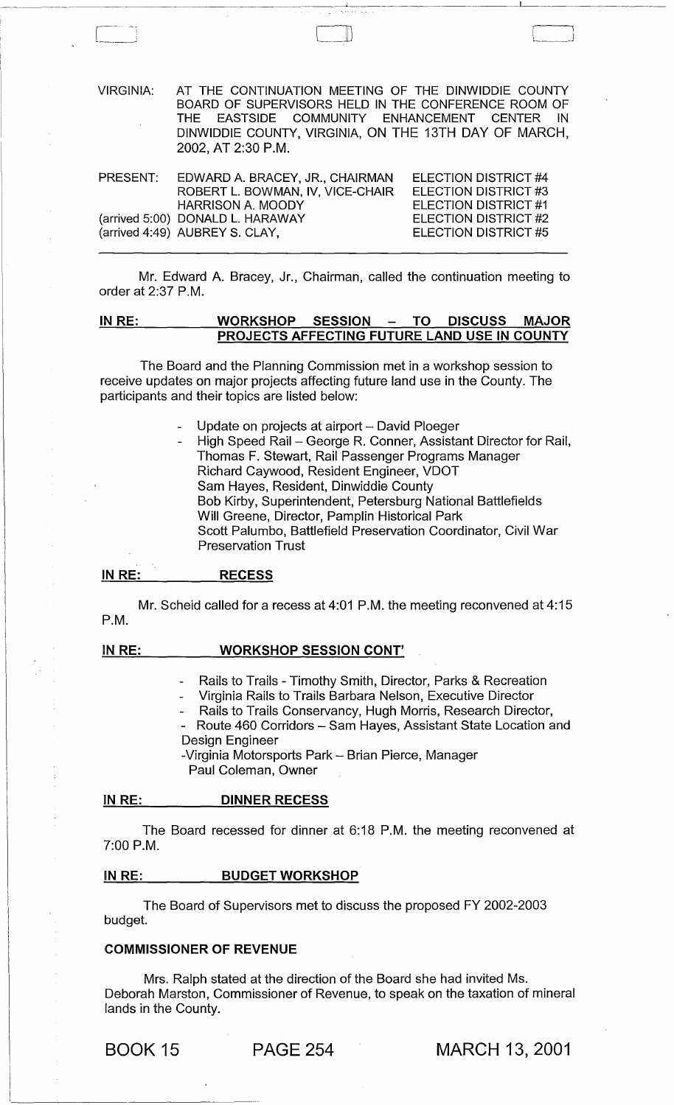| <b>VIRGINIA:</b> | AT THE CONTINUATION MEETING OF THE DINWIDDIE COUNTY<br>BOARD OF SUPERVISORS HELD IN THE CONFERENCE ROOM OF<br>THE EASTSIDE COMMUNITY ENHANCEMENT CENTER IN<br>DINWIDDIE COUNTY, VIRGINIA, ON THE 13TH DAY OF MARCH,<br>2002, AT 2:30 P.M. |                                                     |
|------------------|-------------------------------------------------------------------------------------------------------------------------------------------------------------------------------------------------------------------------------------------|-----------------------------------------------------|
|                  | PRESENT: EDWARD A. BRACEY, JR., CHAIRMAN<br>ROBERT L. BOWMAN, IV, VICE-CHAIR                                                                                                                                                              | ELECTION DISTRICT #4<br>ELECTION DISTRICT #3        |
|                  | <b>HARRISON A. MOODY</b><br>(arrived 5:00) DONALD L. HARAWAY                                                                                                                                                                              | ELECTION DISTRICT #1<br><b>ELECTION DISTRICT #2</b> |

Mr. Edward A. Bracey, Jr., Chairman, called the continuation meeting to order at 2:37 P.M.

ELECTION DISTRICT #5

### IN RE: WORKSHOP SESSION - TO DISCUSS MAJOR PROJECTS AFFECTING FUTURE LAND USE IN COUNTY

The Board and the Planning Commission met in a workshop session to receive updates on major projects affecting future land use in the County. The participants and their topics are listed below:

- Update on projects at airport David Ploeger
- High Speed Rail George R. Conner, Assistant Director for Rail, Thomas F. Stewart, Rail Passenger Programs Manager Richard Caywood, Resident Engineer, VDOT Sam Hayes, Resident, Dinwiddie County Bob Kirby, Superintendent, Petersburg National Battlefields Will Greene, Director, Pamplin Historical Park Scott Palumbo, Battlefield Preservation Coordinator, Civil War Preservation Trust

#### IN RE: RECESS

(arrived 4:49) AUBREY S. CLAY,

Mr. Scheid called for a recess at 4:01 P.M. the meeting reconvened at 4:15 P.M.

#### IN RE: WORKSHOP SESSION CONT'

- Rails to Trails Timothy Smith, Director, Parks & Recreation
- Virginia Rails to Trails Barbara Nelson, Executive Director
- Rails to Trails Conservancy, Hugh Morris, Research Director,
- Route 460 Corridors Sam Hayes, Assistant State Location and Design Engineer

-Virginia Motorsports Park - Brian Pierce, Manager Paul Coleman, Owner

#### IN RE: DINNER RECESS

The Board recessed for dinner at 6:18 P.M. the meeting reconvened at 7:00 P.M.

#### IN RE: BUDGET WORKSHOP

The Board of Supervisors met to discuss the proposed FY 2002-2003 budget.

### COMMISSIONER OF REVENUE

Mrs. Ralph stated at the direction of the Board she had invited Ms. Deborah Marston, Commissioner of Revenue, to speak on the taxation of mineral lands in the County.

# BOOK 15 PAGE 254 MARCH 13, 2001